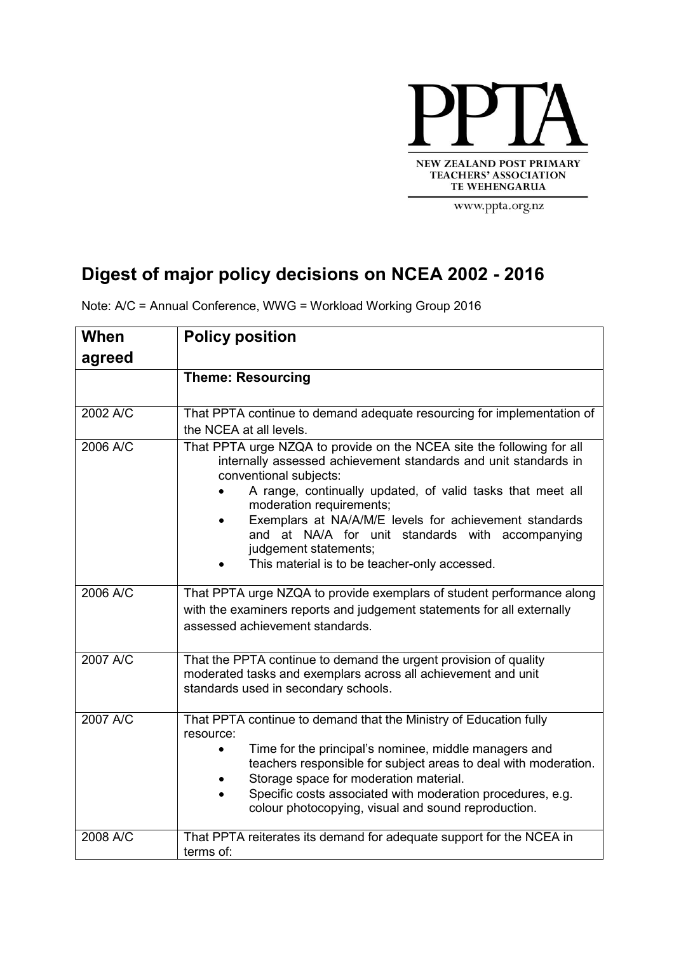

www.ppta.org.nz

## **Digest of major policy decisions on NCEA 2002 - 2016**

| When     | <b>Policy position</b>                                                                                                                                                                                                                                       |  |  |  |  |  |
|----------|--------------------------------------------------------------------------------------------------------------------------------------------------------------------------------------------------------------------------------------------------------------|--|--|--|--|--|
| agreed   |                                                                                                                                                                                                                                                              |  |  |  |  |  |
|          | <b>Theme: Resourcing</b>                                                                                                                                                                                                                                     |  |  |  |  |  |
|          |                                                                                                                                                                                                                                                              |  |  |  |  |  |
| 2002 A/C | That PPTA continue to demand adequate resourcing for implementation of<br>the NCEA at all levels.                                                                                                                                                            |  |  |  |  |  |
| 2006 A/C | That PPTA urge NZQA to provide on the NCEA site the following for all<br>internally assessed achievement standards and unit standards in<br>conventional subjects:<br>A range, continually updated, of valid tasks that meet all<br>moderation requirements; |  |  |  |  |  |
|          | Exemplars at NA/A/M/E levels for achievement standards<br>and at NA/A for unit standards with accompanying<br>judgement statements;                                                                                                                          |  |  |  |  |  |
|          | This material is to be teacher-only accessed.                                                                                                                                                                                                                |  |  |  |  |  |
| 2006 A/C | That PPTA urge NZQA to provide exemplars of student performance along                                                                                                                                                                                        |  |  |  |  |  |
|          | with the examiners reports and judgement statements for all externally                                                                                                                                                                                       |  |  |  |  |  |
|          | assessed achievement standards.                                                                                                                                                                                                                              |  |  |  |  |  |
| 2007 A/C | That the PPTA continue to demand the urgent provision of quality<br>moderated tasks and exemplars across all achievement and unit<br>standards used in secondary schools.                                                                                    |  |  |  |  |  |
| 2007 A/C | That PPTA continue to demand that the Ministry of Education fully<br>resource:                                                                                                                                                                               |  |  |  |  |  |
|          | Time for the principal's nominee, middle managers and<br>teachers responsible for subject areas to deal with moderation.<br>Storage space for moderation material.                                                                                           |  |  |  |  |  |
|          | Specific costs associated with moderation procedures, e.g.<br>colour photocopying, visual and sound reproduction.                                                                                                                                            |  |  |  |  |  |
| 2008 A/C | That PPTA reiterates its demand for adequate support for the NCEA in<br>terms of:                                                                                                                                                                            |  |  |  |  |  |

Note: A/C = Annual Conference, WWG = Workload Working Group 2016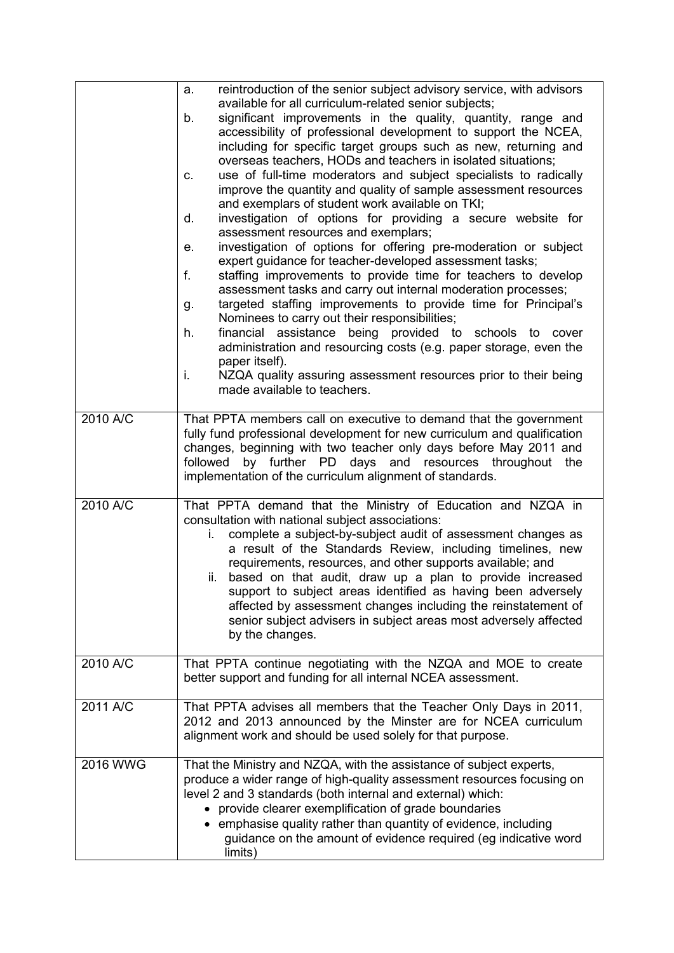|          | reintroduction of the senior subject advisory service, with advisors<br>a.<br>available for all curriculum-related senior subjects;<br>significant improvements in the quality, quantity, range and<br>b.<br>accessibility of professional development to support the NCEA,<br>including for specific target groups such as new, returning and<br>overseas teachers, HODs and teachers in isolated situations;<br>use of full-time moderators and subject specialists to radically<br>C.<br>improve the quantity and quality of sample assessment resources<br>and exemplars of student work available on TKI;<br>investigation of options for providing a secure website for<br>d.<br>assessment resources and exemplars;<br>investigation of options for offering pre-moderation or subject<br>е.<br>expert guidance for teacher-developed assessment tasks;<br>f.<br>staffing improvements to provide time for teachers to develop<br>assessment tasks and carry out internal moderation processes;<br>targeted staffing improvements to provide time for Principal's<br>g.<br>Nominees to carry out their responsibilities;<br>financial assistance being provided to schools<br>h.<br>to cover<br>administration and resourcing costs (e.g. paper storage, even the<br>paper itself).<br>i.<br>NZQA quality assuring assessment resources prior to their being<br>made available to teachers. |  |  |
|----------|----------------------------------------------------------------------------------------------------------------------------------------------------------------------------------------------------------------------------------------------------------------------------------------------------------------------------------------------------------------------------------------------------------------------------------------------------------------------------------------------------------------------------------------------------------------------------------------------------------------------------------------------------------------------------------------------------------------------------------------------------------------------------------------------------------------------------------------------------------------------------------------------------------------------------------------------------------------------------------------------------------------------------------------------------------------------------------------------------------------------------------------------------------------------------------------------------------------------------------------------------------------------------------------------------------------------------------------------------------------------------------------------------|--|--|
| 2010 A/C | That PPTA members call on executive to demand that the government<br>fully fund professional development for new curriculum and qualification<br>changes, beginning with two teacher only days before May 2011 and<br>by further PD days and resources throughout<br>followed<br>the<br>implementation of the curriculum alignment of standards.                                                                                                                                                                                                                                                                                                                                                                                                                                                                                                                                                                                                                                                                                                                                                                                                                                                                                                                                                                                                                                                   |  |  |
| 2010 A/C | That PPTA demand that the Ministry of Education and NZQA in<br>consultation with national subject associations:<br>complete a subject-by-subject audit of assessment changes as<br>i.<br>a result of the Standards Review, including timelines, new<br>requirements, resources, and other supports available; and<br>ii. based on that audit, draw up a plan to provide increased<br>support to subject areas identified as having been adversely<br>affected by assessment changes including the reinstatement of<br>senior subject advisers in subject areas most adversely affected<br>by the changes.                                                                                                                                                                                                                                                                                                                                                                                                                                                                                                                                                                                                                                                                                                                                                                                          |  |  |
| 2010 A/C | That PPTA continue negotiating with the NZQA and MOE to create<br>better support and funding for all internal NCEA assessment.                                                                                                                                                                                                                                                                                                                                                                                                                                                                                                                                                                                                                                                                                                                                                                                                                                                                                                                                                                                                                                                                                                                                                                                                                                                                     |  |  |
| 2011 A/C | That PPTA advises all members that the Teacher Only Days in 2011,<br>2012 and 2013 announced by the Minster are for NCEA curriculum<br>alignment work and should be used solely for that purpose.                                                                                                                                                                                                                                                                                                                                                                                                                                                                                                                                                                                                                                                                                                                                                                                                                                                                                                                                                                                                                                                                                                                                                                                                  |  |  |
| 2016 WWG | That the Ministry and NZQA, with the assistance of subject experts,<br>produce a wider range of high-quality assessment resources focusing on<br>level 2 and 3 standards (both internal and external) which:<br>provide clearer exemplification of grade boundaries<br>emphasise quality rather than quantity of evidence, including<br>$\bullet$<br>guidance on the amount of evidence required (eg indicative word<br>limits)                                                                                                                                                                                                                                                                                                                                                                                                                                                                                                                                                                                                                                                                                                                                                                                                                                                                                                                                                                    |  |  |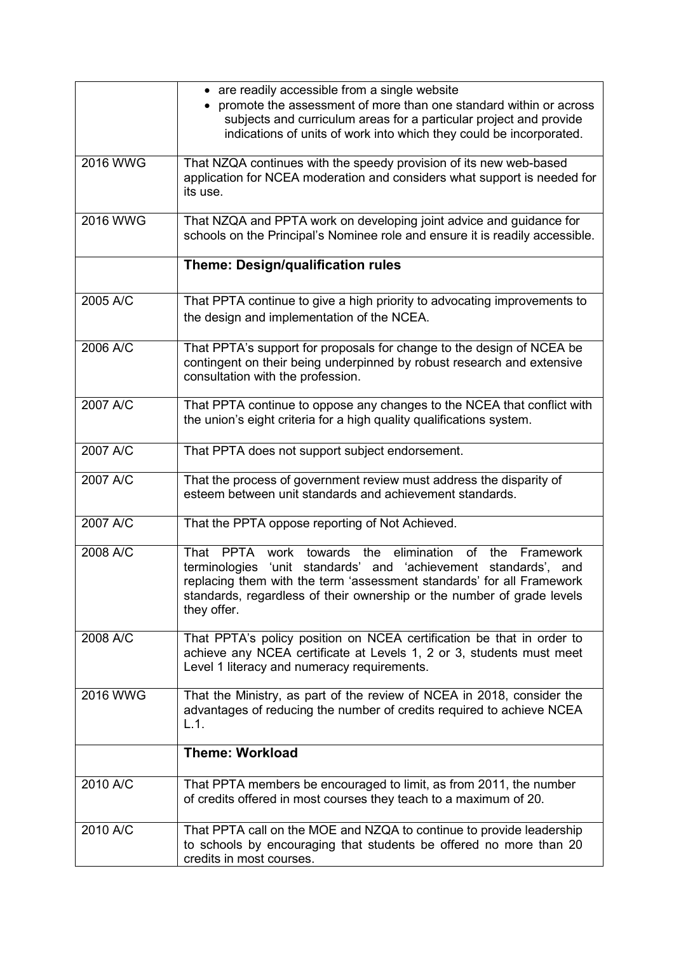|                 | • are readily accessible from a single website<br>promote the assessment of more than one standard within or across<br>subjects and curriculum areas for a particular project and provide<br>indications of units of work into which they could be incorporated.                                                             |  |  |  |  |
|-----------------|------------------------------------------------------------------------------------------------------------------------------------------------------------------------------------------------------------------------------------------------------------------------------------------------------------------------------|--|--|--|--|
| 2016 WWG        | That NZQA continues with the speedy provision of its new web-based<br>application for NCEA moderation and considers what support is needed for<br>its use.                                                                                                                                                                   |  |  |  |  |
| <b>2016 WWG</b> | That NZQA and PPTA work on developing joint advice and guidance for<br>schools on the Principal's Nominee role and ensure it is readily accessible.                                                                                                                                                                          |  |  |  |  |
|                 | <b>Theme: Design/qualification rules</b>                                                                                                                                                                                                                                                                                     |  |  |  |  |
| 2005 A/C        | That PPTA continue to give a high priority to advocating improvements to<br>the design and implementation of the NCEA.                                                                                                                                                                                                       |  |  |  |  |
| 2006 A/C        | That PPTA's support for proposals for change to the design of NCEA be<br>contingent on their being underpinned by robust research and extensive<br>consultation with the profession.                                                                                                                                         |  |  |  |  |
| 2007 A/C        | That PPTA continue to oppose any changes to the NCEA that conflict with<br>the union's eight criteria for a high quality qualifications system.                                                                                                                                                                              |  |  |  |  |
| 2007 A/C        | That PPTA does not support subject endorsement.                                                                                                                                                                                                                                                                              |  |  |  |  |
| 2007 A/C        | That the process of government review must address the disparity of<br>esteem between unit standards and achievement standards.                                                                                                                                                                                              |  |  |  |  |
| 2007 A/C        | That the PPTA oppose reporting of Not Achieved.                                                                                                                                                                                                                                                                              |  |  |  |  |
| 2008 A/C        | the elimination<br>That<br><b>PPTA</b><br>work towards<br><b>of</b><br>the<br>Framework<br>terminologies 'unit standards' and 'achievement standards', and<br>replacing them with the term 'assessment standards' for all Framework<br>standards, regardless of their ownership or the number of grade levels<br>they offer. |  |  |  |  |
| 2008 A/C        | That PPTA's policy position on NCEA certification be that in order to<br>achieve any NCEA certificate at Levels 1, 2 or 3, students must meet<br>Level 1 literacy and numeracy requirements.                                                                                                                                 |  |  |  |  |
| 2016 WWG        | That the Ministry, as part of the review of NCEA in 2018, consider the<br>advantages of reducing the number of credits required to achieve NCEA<br>L.1.                                                                                                                                                                      |  |  |  |  |
|                 | <b>Theme: Workload</b>                                                                                                                                                                                                                                                                                                       |  |  |  |  |
| 2010 A/C        | That PPTA members be encouraged to limit, as from 2011, the number<br>of credits offered in most courses they teach to a maximum of 20.                                                                                                                                                                                      |  |  |  |  |
| 2010 A/C        | That PPTA call on the MOE and NZQA to continue to provide leadership<br>to schools by encouraging that students be offered no more than 20<br>credits in most courses.                                                                                                                                                       |  |  |  |  |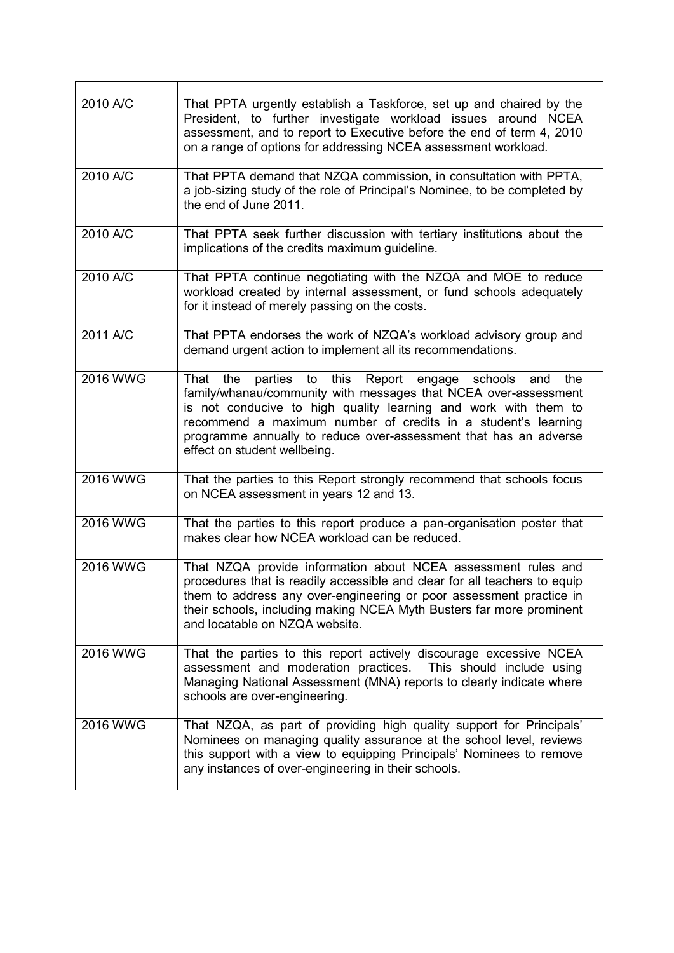| 2010 A/C | That PPTA urgently establish a Taskforce, set up and chaired by the<br>President, to further investigate workload issues around NCEA<br>assessment, and to report to Executive before the end of term 4, 2010<br>on a range of options for addressing NCEA assessment workload.                                                                                               |  |  |  |  |
|----------|-------------------------------------------------------------------------------------------------------------------------------------------------------------------------------------------------------------------------------------------------------------------------------------------------------------------------------------------------------------------------------|--|--|--|--|
| 2010 A/C | That PPTA demand that NZQA commission, in consultation with PPTA,<br>a job-sizing study of the role of Principal's Nominee, to be completed by<br>the end of June 2011.                                                                                                                                                                                                       |  |  |  |  |
| 2010 A/C | That PPTA seek further discussion with tertiary institutions about the<br>implications of the credits maximum guideline.                                                                                                                                                                                                                                                      |  |  |  |  |
| 2010 A/C | That PPTA continue negotiating with the NZQA and MOE to reduce<br>workload created by internal assessment, or fund schools adequately<br>for it instead of merely passing on the costs.                                                                                                                                                                                       |  |  |  |  |
| 2011 A/C | That PPTA endorses the work of NZQA's workload advisory group and<br>demand urgent action to implement all its recommendations.                                                                                                                                                                                                                                               |  |  |  |  |
| 2016 WWG | parties to this Report engage schools<br>That<br>the<br>and<br>the<br>family/whanau/community with messages that NCEA over-assessment<br>is not conducive to high quality learning and work with them to<br>recommend a maximum number of credits in a student's learning<br>programme annually to reduce over-assessment that has an adverse<br>effect on student wellbeing. |  |  |  |  |
| 2016 WWG | That the parties to this Report strongly recommend that schools focus<br>on NCEA assessment in years 12 and 13.                                                                                                                                                                                                                                                               |  |  |  |  |
| 2016 WWG | That the parties to this report produce a pan-organisation poster that<br>makes clear how NCEA workload can be reduced.                                                                                                                                                                                                                                                       |  |  |  |  |
| 2016 WWG | That NZQA provide information about NCEA assessment rules and<br>procedures that is readily accessible and clear for all teachers to equip<br>them to address any over-engineering or poor assessment practice in<br>their schools, including making NCEA Myth Busters far more prominent<br>and locatable on NZQA website.                                                   |  |  |  |  |
| 2016 WWG | That the parties to this report actively discourage excessive NCEA<br>assessment and moderation practices. This should include using<br>Managing National Assessment (MNA) reports to clearly indicate where<br>schools are over-engineering.                                                                                                                                 |  |  |  |  |
| 2016 WWG | That NZQA, as part of providing high quality support for Principals'<br>Nominees on managing quality assurance at the school level, reviews<br>this support with a view to equipping Principals' Nominees to remove<br>any instances of over-engineering in their schools.                                                                                                    |  |  |  |  |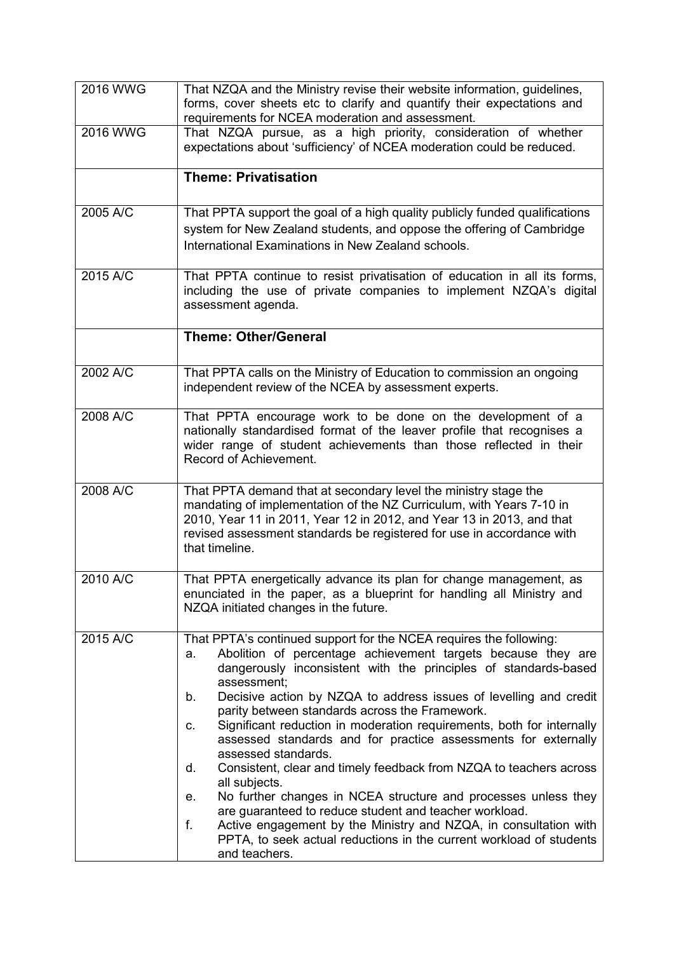| 2016 WWG                 | That NZQA and the Ministry revise their website information, guidelines,<br>forms, cover sheets etc to clarify and quantify their expectations and<br>requirements for NCEA moderation and assessment.                                                                                                                                                                                                                                                                                                                                                                                                                                                                                                                                                                                                                                                                                                                           |  |  |  |
|--------------------------|----------------------------------------------------------------------------------------------------------------------------------------------------------------------------------------------------------------------------------------------------------------------------------------------------------------------------------------------------------------------------------------------------------------------------------------------------------------------------------------------------------------------------------------------------------------------------------------------------------------------------------------------------------------------------------------------------------------------------------------------------------------------------------------------------------------------------------------------------------------------------------------------------------------------------------|--|--|--|
| 2016 WWG                 | That NZQA pursue, as a high priority, consideration of whether<br>expectations about 'sufficiency' of NCEA moderation could be reduced.                                                                                                                                                                                                                                                                                                                                                                                                                                                                                                                                                                                                                                                                                                                                                                                          |  |  |  |
|                          | <b>Theme: Privatisation</b>                                                                                                                                                                                                                                                                                                                                                                                                                                                                                                                                                                                                                                                                                                                                                                                                                                                                                                      |  |  |  |
| 2005 A/C                 | That PPTA support the goal of a high quality publicly funded qualifications<br>system for New Zealand students, and oppose the offering of Cambridge<br>International Examinations in New Zealand schools.                                                                                                                                                                                                                                                                                                                                                                                                                                                                                                                                                                                                                                                                                                                       |  |  |  |
| 2015 A/C                 | That PPTA continue to resist privatisation of education in all its forms,<br>including the use of private companies to implement NZQA's digital<br>assessment agenda.                                                                                                                                                                                                                                                                                                                                                                                                                                                                                                                                                                                                                                                                                                                                                            |  |  |  |
|                          | <b>Theme: Other/General</b>                                                                                                                                                                                                                                                                                                                                                                                                                                                                                                                                                                                                                                                                                                                                                                                                                                                                                                      |  |  |  |
| $2002$ A/ $\overline{C}$ | That PPTA calls on the Ministry of Education to commission an ongoing<br>independent review of the NCEA by assessment experts.                                                                                                                                                                                                                                                                                                                                                                                                                                                                                                                                                                                                                                                                                                                                                                                                   |  |  |  |
| 2008 A/C                 | That PPTA encourage work to be done on the development of a<br>nationally standardised format of the leaver profile that recognises a<br>wider range of student achievements than those reflected in their<br>Record of Achievement.                                                                                                                                                                                                                                                                                                                                                                                                                                                                                                                                                                                                                                                                                             |  |  |  |
| 2008 A/C                 | That PPTA demand that at secondary level the ministry stage the<br>mandating of implementation of the NZ Curriculum, with Years 7-10 in<br>2010, Year 11 in 2011, Year 12 in 2012, and Year 13 in 2013, and that<br>revised assessment standards be registered for use in accordance with<br>that timeline.                                                                                                                                                                                                                                                                                                                                                                                                                                                                                                                                                                                                                      |  |  |  |
| 2010 A/C                 | That PPTA energetically advance its plan for change management, as<br>enunciated in the paper, as a blueprint for handling all Ministry and<br>NZQA initiated changes in the future.                                                                                                                                                                                                                                                                                                                                                                                                                                                                                                                                                                                                                                                                                                                                             |  |  |  |
| 2015 A/C                 | That PPTA's continued support for the NCEA requires the following:<br>Abolition of percentage achievement targets because they are<br>a.<br>dangerously inconsistent with the principles of standards-based<br>assessment:<br>Decisive action by NZQA to address issues of levelling and credit<br>b.<br>parity between standards across the Framework.<br>Significant reduction in moderation requirements, both for internally<br>C.<br>assessed standards and for practice assessments for externally<br>assessed standards.<br>Consistent, clear and timely feedback from NZQA to teachers across<br>d.<br>all subjects.<br>No further changes in NCEA structure and processes unless they<br>е.<br>are guaranteed to reduce student and teacher workload.<br>Active engagement by the Ministry and NZQA, in consultation with<br>f.<br>PPTA, to seek actual reductions in the current workload of students<br>and teachers. |  |  |  |